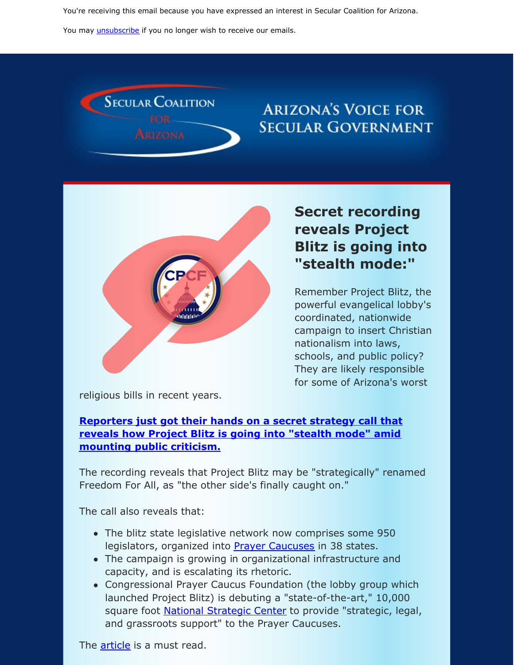You're receiving this email because you have expressed an interest in Secular Coalition for Arizona.

You may *[unsubscribe](https://visitor.constantcontact.com/do?p=un&m=001P9cdir9A6TjtWqZlUS4EUA%3D%3D&ch=&ca=76b2e468-90d9-4b1d-82e2-705d6c017c60)* if you no longer wish to receive our emails.



# **ARIZONA'S VOICE FOR SECULAR GOVERNMENT**



# **Secret recording reveals Project Blitz is going into "stealth mode:"**

Remember Project Blitz, the powerful evangelical lobby's coordinated, nationwide campaign to insert Christian nationalism into laws, schools, and public policy? They are likely responsible for some of Arizona's worst

religious bills in recent years.

#### **[Reporters](https://www.politicalresearch.org/2019/11/07/project-blitz-any-other-name) just got their hands on a secret strategy call that reveals how Project Blitz is going into "stealth mode" amid mounting public criticism.**

The recording reveals that Project Blitz may be "strategically" renamed Freedom For All, as "the other side's finally caught on."

The call also reveals that:

- The blitz state legislative network now comprises some 950 legislators, organized into **Prayer [Caucuses](https://donotlink.it/YZKja)** in 38 states.
- The campaign is growing in organizational infrastructure and capacity, and is escalating its rhetoric.
- Congressional Prayer Caucus Foundation (the lobby group which launched Project Blitz) is debuting a "state-of-the-art," 10,000 square foot **National [Strategic](https://donotlink.it/a26j7) Center** to provide "strategic, legal, and grassroots support" to the Prayer Caucuses.

The **[article](https://www.politicalresearch.org/2019/11/07/project-blitz-any-other-name)** is a must read.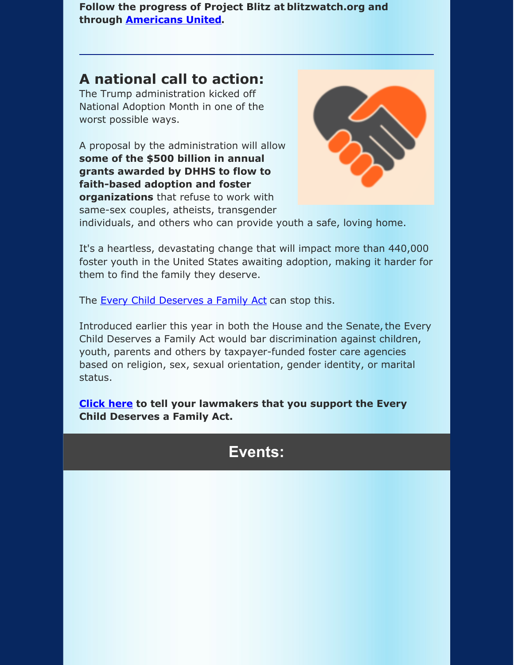**Follow the progress of Project Blitz at blitzwatch.org and through [Americans](http://www.au.org/tags/project-blitz) United.**

### **A national call to action:**

The Trump administration kicked off National Adoption Month in one of the worst possible ways.

A proposal by the administration will allow **some of the \$500 billion in annual grants awarded by DHHS to flow to faith-based adoption and foster organizations** that refuse to work with





individuals, and others who can provide youth a safe, loving home.

It's a heartless, devastating change that will impact more than 440,000 foster youth in the United States awaiting adoption, making it harder for them to find the family they deserve.

The Every Child [Deserves](https://www.hrc.org/resources/every-child-deserves-a-family-act) a Family Act can stop this.

Introduced earlier this year in both the House and the Senate, the Every Child Deserves a Family Act would bar discrimination against children, youth, parents and others by taxpayer-funded foster care agencies based on religion, sex, sexual orientation, gender identity, or marital status.

**[Click](https://secular.org/actions/support-the-every-child-deserves-a-family-act/?mc_cid=03cf8d8954&mc_eid=cc2c9660a5&fbclid=IwAR07YZppBc-2ghLBYTKExD7L87_JVBSfEQm5mm2VBhQ59INrJccFM-gXE44) here to tell your lawmakers that you support the Every Child Deserves a Family Act.**

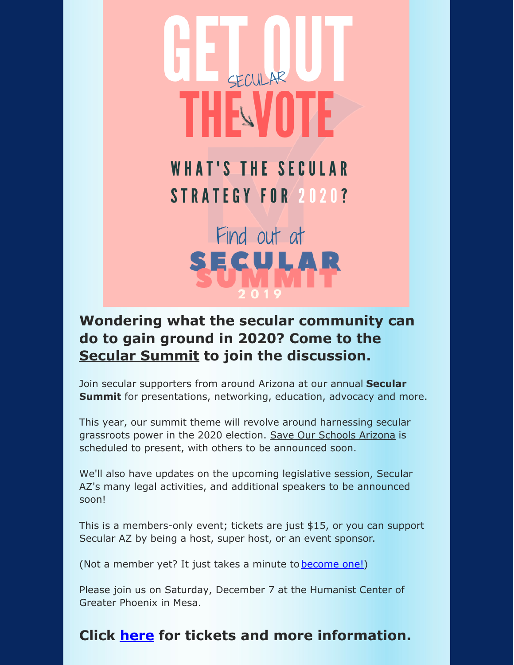# SECULAR **THE VOTE**

**WHAT'S THE SECULAR** STRATEGY FOR 2020?

Find out at **SECULAR** 

# **Wondering what the secular community can do to gain ground in 2020? Come to the Secular [Summit](https://secularaz.org/vocabulary_3/events/) to join the discussion.**

Join secular supporters from around Arizona at our annual **Secular Summit** for presentations, networking, education, advocacy and more.

This year, our summit theme will revolve around harnessing secular grassroots power in the 2020 election. Save Our [Schools](https://sosarizona.org/) Arizona is scheduled to present, with others to be announced soon.

We'll also have updates on the upcoming legislative session, Secular AZ's many legal activities, and additional speakers to be announced soon!

This is a members-only event; tickets are just \$15, or you can support Secular AZ by being a host, super host, or an event sponsor.

(Not a member yet? It just takes a minute to [become](https://secularaz.org/product-category/donate-membership/) one!)

Please join us on Saturday, December 7 at the Humanist Center of Greater Phoenix in Mesa.

## **Click [here](https://secularaz.org/product/secular-summit-2019/) for tickets and more information.**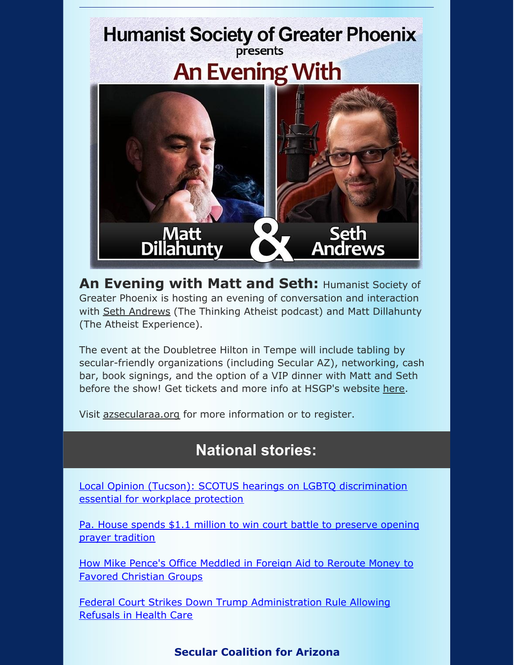

**An Evening with Matt and Seth:** Humanist Society of Greater Phoenix is hosting an evening of conversation and interaction with Seth [Andrews](https://www.sethandrews.net/) (The Thinking Atheist podcast) and Matt Dillahunty (The Atheist Experience).

The event at the Doubletree Hilton in Tempe will include tabling by secular-friendly organizations (including Secular AZ), networking, cash bar, book signings, and the option of a VIP dinner with Matt and Seth before the show! Get tickets and more info at HSGP's website [here](https://hsgp.org/blog/1667/an-evening-with-matt-dillahunty-and-seth-andrews).

Visit [azsecularaa.org](https://www.azsecularaa.org/) for more information or to register.

# **National stories:**

Local Opinion (Tucson): SCOTUS hearings on LGBTQ [discrimination](https://tucson.com/opinion/local/local-opinion-scotus-hearings-on-lgbtq-discrimination-essential-for-workplace/article_b283b254-d2b0-524b-9c4f-45841b0c790a.html?fbclid=IwAR1P4bjWt-ryj340iETw4T87WY2Kh-x-BoSjpPeDEIFg8eO5nhCkzjGdCeA) essential for workplace protection

Pa. House spends \$1.1 million to win court battle to [preserve](https://papost.org/2019/10/31/pa-house-spends-1-1-million-to-win-court-battle-to-preserve-opening-prayer-tradition/?fbclid=IwAR3ZzYMOP2YzBge8gBLybg3XOy7XaxwqO5_HlHa7U85elEkozDKQ3Y0l50k) opening prayer tradition

How Mike Pence's Office Meddled in Foreign Aid to Reroute Money to Favored [Christian](https://www.propublica.org/article/how-mike-pences-office-meddled-in-foreign-aid-to-reroute-money-to-favored-christian-groups/amp?__twitter_impression=true&fbclid=IwAR3NKK9CjlQVqDJGWehjQ_d2rV7CYh6GSj4jcVxQpKLDzeNoiodDmm-xVzc) Groups

Federal Court Strikes Down Trump [Administration](https://www.aclu.org/press-releases/federal-court-strikes-down-trump-administration-rule-allowing-refusals-health-care?fbclid=IwAR3RVBgw-RMmoz3Xembu9gbU99ty9Y6iYvTGPQLI7PLtcAviz5yjjPScGNo) Rule Allowing Refusals in Health Care

### **Secular Coalition for Arizona**